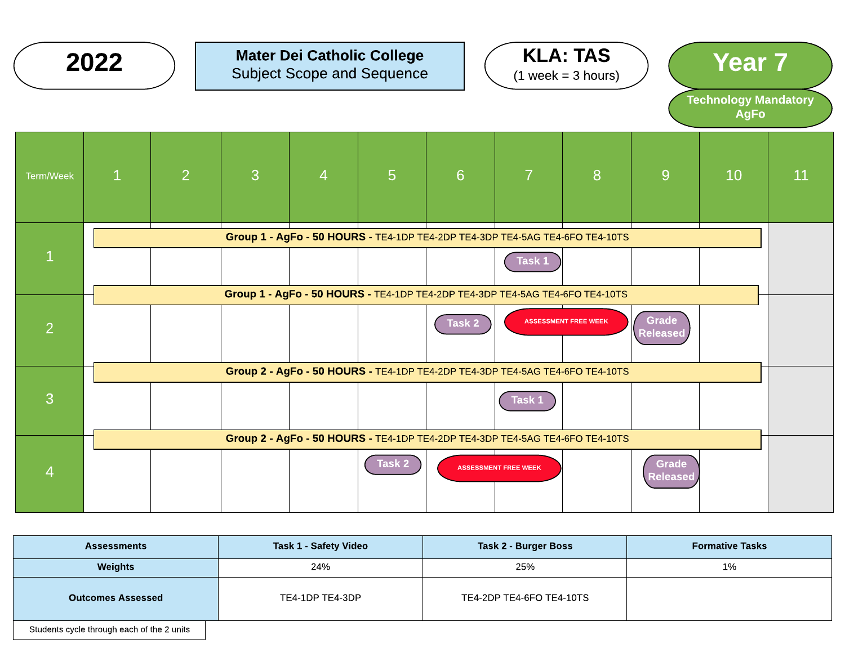|                | 2022         |                |   |                | <b>Mater Dei Catholic College</b><br><b>Subject Scope and Sequence</b>                 |        |                             | <b>KLA: TAS</b><br>$(1 week = 3 hours)$ |                                 | <b>Year 7</b><br><b>Technology Mandatory</b><br><b>AgFo</b> |    |
|----------------|--------------|----------------|---|----------------|----------------------------------------------------------------------------------------|--------|-----------------------------|-----------------------------------------|---------------------------------|-------------------------------------------------------------|----|
| Term/Week      | $\mathbf{1}$ | $\overline{2}$ | 3 | $\overline{4}$ | $5\phantom{1}$                                                                         | 6      | $\overline{7}$              | 8                                       | 9                               | 10                                                          | 11 |
| $\mathbf{1}$   |              |                |   |                | Group 1 - AgFo - 50 HOURS - TE4-1DP TE4-2DP TE4-3DP TE4-5AG TE4-6FO TE4-10TS           |        | Task 1                      |                                         |                                 |                                                             |    |
| $\overline{2}$ |              |                |   |                | Group 1 - AgFo - 50 HOURS - TE4-1DP TE4-2DP TE4-3DP TE4-5AG TE4-6FO TE4-10TS           | Task 2 |                             | <b>ASSESSMENT FREE WEEK</b>             | Grade<br>Released               |                                                             |    |
| 3              |              |                |   |                | Group 2 - AgFo - 50 HOURS - TE4-1DP TE4-2DP TE4-3DP TE4-5AG TE4-6FO TE4-10TS           |        | Task 1                      |                                         |                                 |                                                             |    |
| $\overline{4}$ |              |                |   |                | Group 2 - AgFo - 50 HOURS - TE4-1DP TE4-2DP TE4-3DP TE4-5AG TE4-6FO TE4-10TS<br>Task 2 |        | <b>ASSESSMENT FREE WEEK</b> |                                         | <b>Grade</b><br><b>Released</b> |                                                             |    |

| <b>Assessments</b>                         | <b>Task 1 - Safety Video</b> | Task 2 - Burger Boss     | <b>Formative Tasks</b> |
|--------------------------------------------|------------------------------|--------------------------|------------------------|
| Weights                                    | 24%                          | 25%                      | 1%                     |
| <b>Outcomes Assessed</b>                   | TE4-1DP TE4-3DP              | TE4-2DP TE4-6FO TE4-10TS |                        |
| Students cycle through each of the 2 units |                              |                          |                        |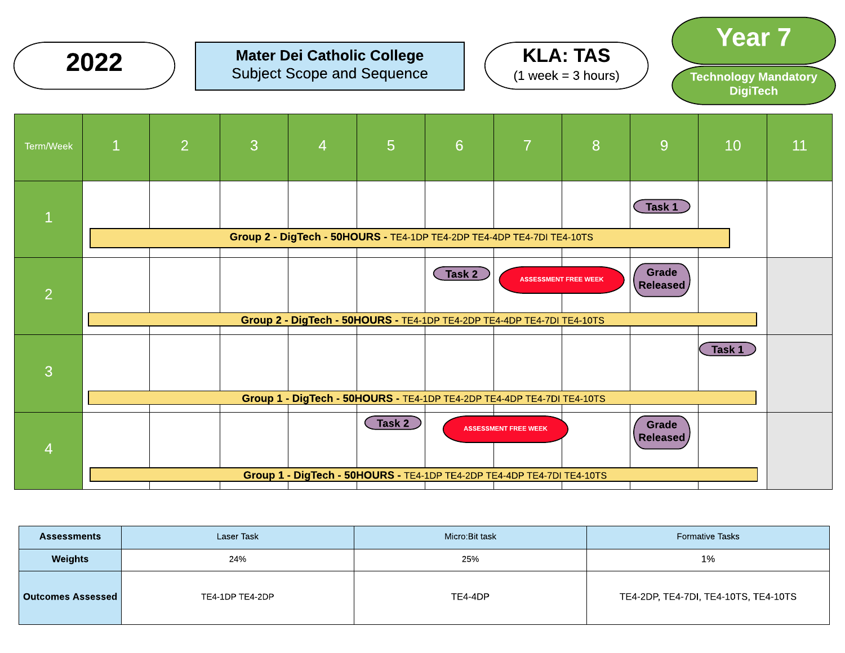



Year 7 Technology Mandatory **DigiTech** 



| <b>Assessments</b> | Laser Task      | Micro:Bit task | <b>Formative Tasks</b>               |
|--------------------|-----------------|----------------|--------------------------------------|
| <b>Weights</b>     | 24%             | 25%            | 1%                                   |
| Outcomes Assessed  | TE4-1DP TE4-2DP | TE4-4DP        | TE4-2DP, TE4-7DI, TE4-10TS, TE4-10TS |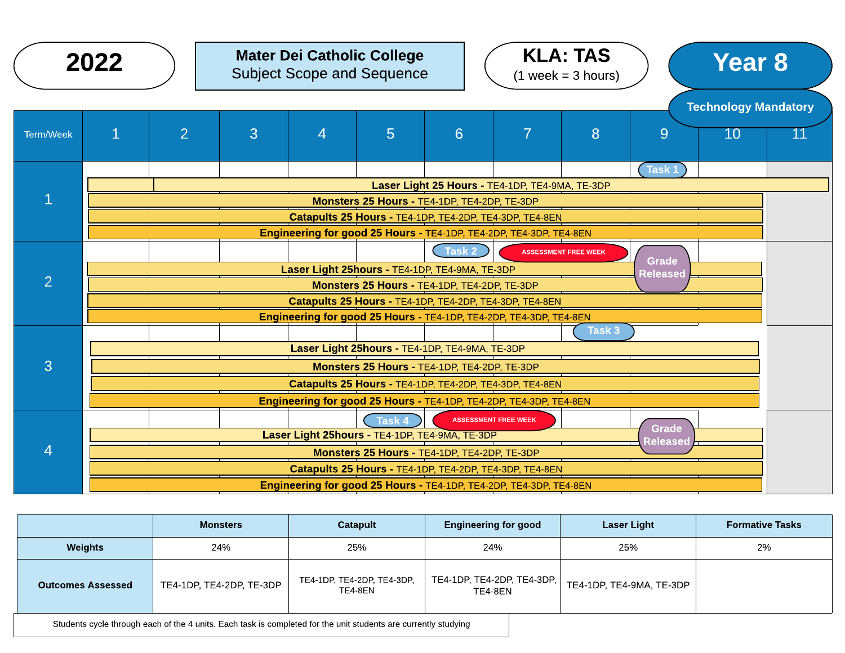|                | 2022                                                                                            |                |   | <b>Mater Dei Catholic College</b><br><b>Subject Scope and Sequence</b> |                                                |          |                                                                    | <b>KLA: TAS</b><br>$(1 week = 3 hours)$ |                 | <b>Year 8</b>               |  |  |
|----------------|-------------------------------------------------------------------------------------------------|----------------|---|------------------------------------------------------------------------|------------------------------------------------|----------|--------------------------------------------------------------------|-----------------------------------------|-----------------|-----------------------------|--|--|
|                |                                                                                                 |                |   |                                                                        |                                                |          |                                                                    |                                         |                 | <b>Technology Mandatory</b> |  |  |
| Term/Week      | $\overline{1}$                                                                                  | $\overline{2}$ | 3 | $\overline{4}$                                                         | 5                                              | 6        | $\overline{7}$                                                     | 8                                       | 9               | 10                          |  |  |
|                |                                                                                                 |                |   |                                                                        |                                                |          |                                                                    |                                         | Task 1          |                             |  |  |
| $\overline{1}$ | Laser Light 25 Hours - TE4-1DP, TE4-9MA, TE-3DP<br>Monsters 25 Hours - TE4-1DP, TE4-2DP, TE-3DP |                |   |                                                                        |                                                |          |                                                                    |                                         |                 |                             |  |  |
|                | Catapults 25 Hours - TE4-1DP, TE4-2DP, TE4-3DP, TE4-8EN                                         |                |   |                                                                        |                                                |          |                                                                    |                                         |                 |                             |  |  |
|                | Engineering for good 25 Hours - TE4-1DP, TE4-2DP, TE4-3DP, TE4-8EN                              |                |   |                                                                        |                                                |          |                                                                    |                                         |                 |                             |  |  |
|                |                                                                                                 |                |   |                                                                        |                                                | C Task 2 |                                                                    | <b>ASSESSMENT FREE WEEK</b>             |                 |                             |  |  |
|                | <b>Grade</b><br>Laser Light 25hours - TE4-1DP, TE4-9MA, TE-3DP<br>Released                      |                |   |                                                                        |                                                |          |                                                                    |                                         |                 |                             |  |  |
| $\overline{2}$ |                                                                                                 |                |   |                                                                        | Monsters 25 Hours - TE4-1DP, TE4-2DP, TE-3DP   |          |                                                                    |                                         |                 |                             |  |  |
|                | Catapults 25 Hours - TE4-1DP, TE4-2DP, TE4-3DP, TE4-8EN                                         |                |   |                                                                        |                                                |          |                                                                    |                                         |                 |                             |  |  |
|                |                                                                                                 |                |   |                                                                        |                                                |          | Engineering for good 25 Hours - TE4-1DP, TE4-2DP, TE4-3DP, TE4-8EN |                                         |                 |                             |  |  |
|                |                                                                                                 |                |   |                                                                        |                                                |          |                                                                    | Task 3                                  |                 |                             |  |  |
|                |                                                                                                 |                |   |                                                                        | Laser Light 25hours - TE4-1DP, TE4-9MA, TE-3DP |          |                                                                    |                                         |                 |                             |  |  |
| 3              |                                                                                                 |                |   |                                                                        | Monsters 25 Hours - TE4-1DP, TE4-2DP, TE-3DP   |          |                                                                    |                                         |                 |                             |  |  |
|                |                                                                                                 |                |   |                                                                        |                                                |          | Catapults 25 Hours - TE4-1DP, TE4-2DP, TE4-3DP, TE4-8EN            |                                         |                 |                             |  |  |
|                |                                                                                                 |                |   |                                                                        |                                                |          | Engineering for good 25 Hours - TE4-1DP, TE4-2DP, TE4-3DP, TE4-8EN |                                         |                 |                             |  |  |
|                |                                                                                                 |                |   |                                                                        | $\binom{7}{1}$ Task 4                          |          | <b>ASSESSMENT FREE WEEK</b>                                        |                                         | <b>Grade</b>    |                             |  |  |
|                |                                                                                                 |                |   | Laser Light 25hours - TE4-1DP, TE4-9MA, TE-3DP                         |                                                |          |                                                                    |                                         | <b>Released</b> |                             |  |  |
| 4              |                                                                                                 |                |   |                                                                        | Monsters 25 Hours - TE4-1DP, TE4-2DP, TE-3DP   |          |                                                                    |                                         |                 |                             |  |  |
|                |                                                                                                 |                |   |                                                                        |                                                |          | Catapults 25 Hours - TE4-1DP, TE4-2DP, TE4-3DP, TE4-8EN            |                                         |                 |                             |  |  |
|                |                                                                                                 |                |   |                                                                        |                                                |          | Engineering for good 25 Hours - TE4-1DP, TE4-2DP, TE4-3DP, TE4-8EN |                                         |                 |                             |  |  |

|                          | <b>Monsters</b>          | <b>Catapult</b>                       | <b>Engineering for good</b>           | <b>Laser Light</b>       | <b>Formative Tasks</b> |
|--------------------------|--------------------------|---------------------------------------|---------------------------------------|--------------------------|------------------------|
| <b>Weights</b>           | 24%                      | 25%                                   | 24%                                   | 25%                      | 2%                     |
| <b>Outcomes Assessed</b> | TE4-1DP, TE4-2DP, TE-3DP | TE4-1DP, TE4-2DP, TE4-3DP,<br>TE4-8EN | TE4-1DP, TE4-2DP, TE4-3DP,<br>TE4-8EN | TE4-1DP, TE4-9MA, TE-3DP |                        |

Students cycle through each of the 4 units. Each task is completed for the unit students are currently studying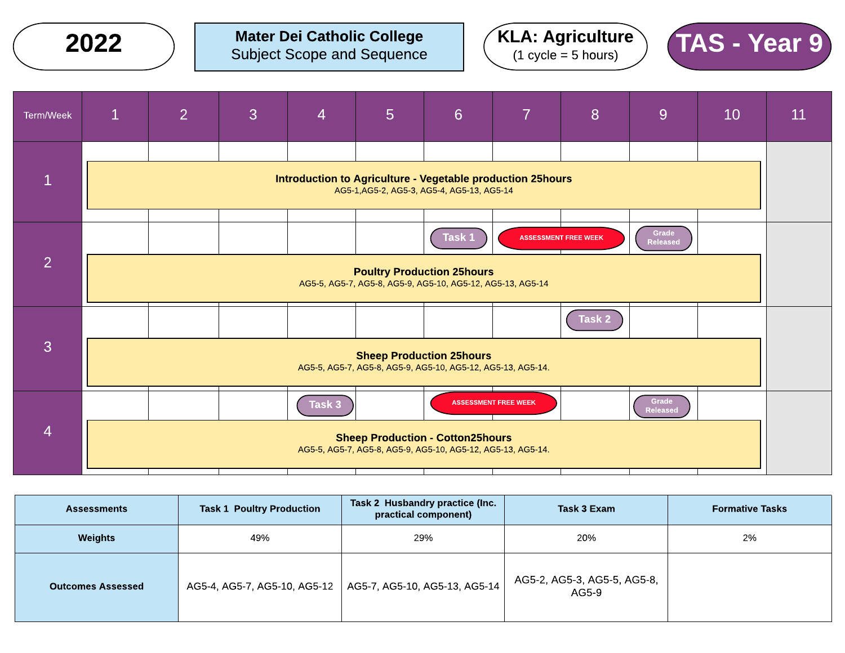Mater Dei Catholic College Subject Scope and Sequence  $2022$  ) Mater Dei Catholic College  $(KLA: Agriculture)$   $TAS - Year9$ 





| Term/Week      | $\mathbf 1$                                                                                    | 2 <sup>1</sup> | 3 | 4      | 5 | $6\phantom{1}6$                                                                                          | 7                           | 8                           | <u>g</u>                 | 10 | 11 |
|----------------|------------------------------------------------------------------------------------------------|----------------|---|--------|---|----------------------------------------------------------------------------------------------------------|-----------------------------|-----------------------------|--------------------------|----|----|
| $\mathbf{1}$   |                                                                                                |                |   |        |   | Introduction to Agriculture - Vegetable production 25hours<br>AG5-1, AG5-2, AG5-3, AG5-4, AG5-13, AG5-14 |                             |                             |                          |    |    |
|                |                                                                                                |                |   |        |   |                                                                                                          |                             |                             |                          |    |    |
| $\overline{2}$ |                                                                                                |                |   |        |   | Task 1                                                                                                   |                             | <b>ASSESSMENT FREE WEEK</b> | Grade<br><b>Released</b> |    |    |
|                |                                                                                                |                |   |        |   | <b>Poultry Production 25hours</b><br>AG5-5, AG5-7, AG5-8, AG5-9, AG5-10, AG5-12, AG5-13, AG5-14          |                             |                             |                          |    |    |
| 3              |                                                                                                |                |   |        |   |                                                                                                          |                             | Task 2                      |                          |    |    |
|                | <b>Sheep Production 25hours</b><br>AG5-5, AG5-7, AG5-8, AG5-9, AG5-10, AG5-12, AG5-13, AG5-14. |                |   |        |   |                                                                                                          |                             |                             |                          |    |    |
|                |                                                                                                |                |   | Task 3 |   |                                                                                                          | <b>ASSESSMENT FREE WEEK</b> |                             | Grade<br><b>Released</b> |    |    |
| $\overline{4}$ |                                                                                                |                |   |        |   | <b>Sheep Production - Cotton25hours</b><br>AG5-5, AG5-7, AG5-8, AG5-9, AG5-10, AG5-12, AG5-13, AG5-14.   |                             |                             |                          |    |    |
|                |                                                                                                |                |   |        |   |                                                                                                          |                             |                             |                          |    |    |

| <b>Assessments</b>       | <b>Task 1 Poultry Production</b> | Task 2 Husbandry practice (Inc.<br>practical component) | Task 3 Exam                          | <b>Formative Tasks</b> |
|--------------------------|----------------------------------|---------------------------------------------------------|--------------------------------------|------------------------|
| Weights                  | 49%                              | 29%                                                     | 20%                                  | 2%                     |
| <b>Outcomes Assessed</b> | AG5-4, AG5-7, AG5-10, AG5-12     | AG5-7, AG5-10, AG5-13, AG5-14                           | AG5-2, AG5-3, AG5-5, AG5-8,<br>AG5-9 |                        |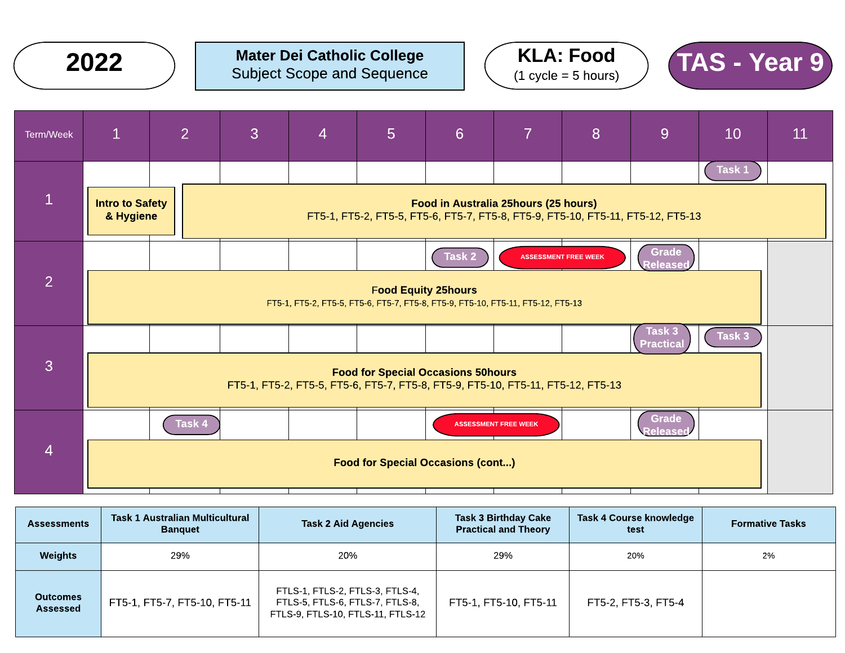







| <b>Assessments</b>          | Task 1 Australian Multicultural<br><b>Banquet</b> | <b>Task 2 Aid Agencies</b>                                                                              | <b>Task 3 Birthday Cake</b><br><b>Practical and Theory</b> | Task 4 Course knowledge<br>test | <b>Formative Tasks</b> |
|-----------------------------|---------------------------------------------------|---------------------------------------------------------------------------------------------------------|------------------------------------------------------------|---------------------------------|------------------------|
| <b>Weights</b>              | 29%                                               | 20%                                                                                                     | 29%                                                        | 20%                             | 2%                     |
| <b>Outcomes</b><br>Assessed | FT5-1, FT5-7, FT5-10, FT5-11                      | FTLS-1, FTLS-2, FTLS-3, FTLS-4,<br>FTLS-5, FTLS-6, FTLS-7, FTLS-8,<br>FTLS-9, FTLS-10, FTLS-11, FTLS-12 | FT5-1, FT5-10, FT5-11                                      | FT5-2, FT5-3, FT5-4             |                        |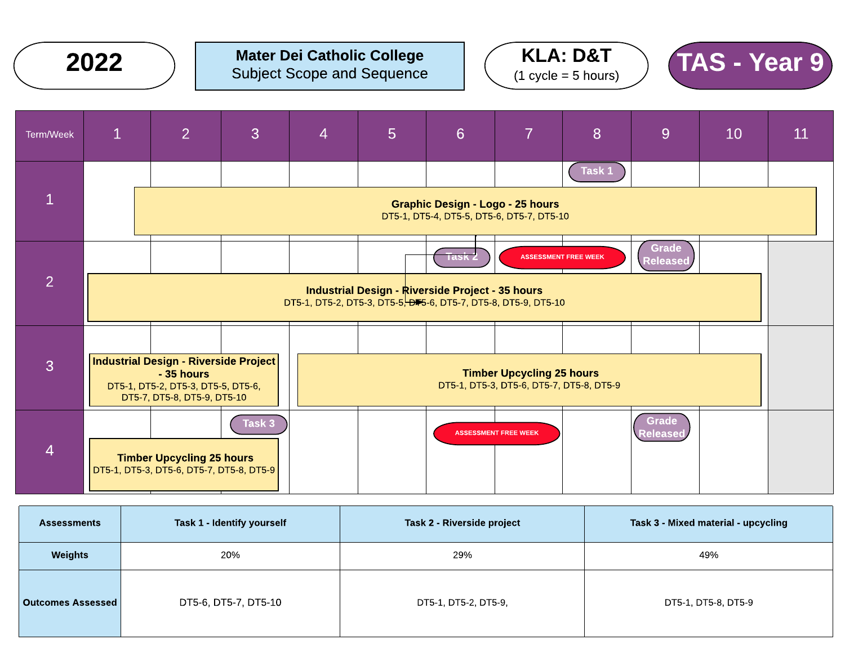







| <b>Assessments</b>         | Task 1 - Identify yourself | <b>Task 2 - Riverside project</b> | Task 3 - Mixed material - upcycling |
|----------------------------|----------------------------|-----------------------------------|-------------------------------------|
| Weights                    | 20%                        | 29%                               | 49%                                 |
| <b>Outcomes Assessed  </b> | DT5-6, DT5-7, DT5-10       | DT5-1, DT5-2, DT5-9,              | DT5-1, DT5-8, DT5-9                 |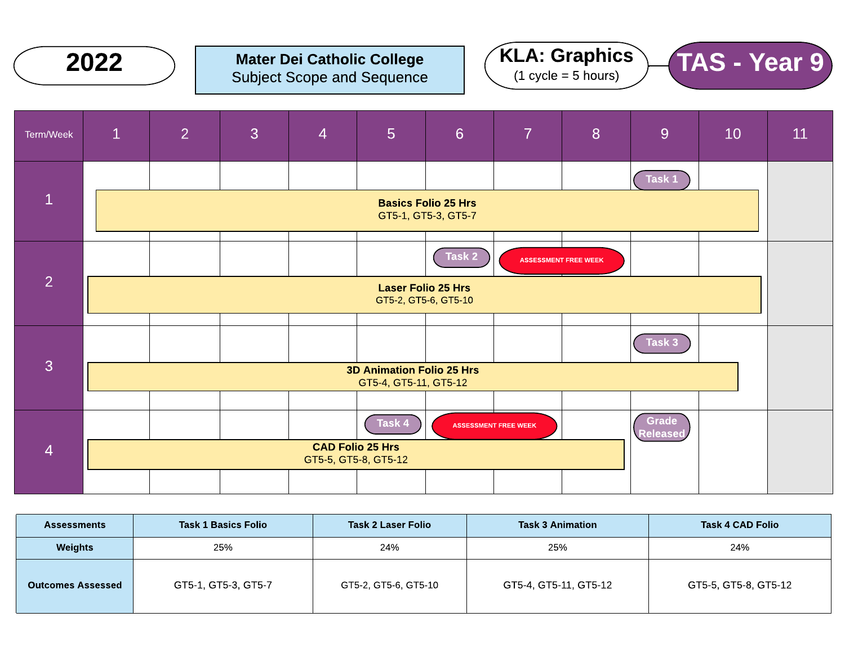







| <b>Assessments</b>       | <b>Task 1 Basics Folio</b> | <b>Task 2 Laser Folio</b> | <b>Task 3 Animation</b> | <b>Task 4 CAD Folio</b> |
|--------------------------|----------------------------|---------------------------|-------------------------|-------------------------|
| Weights                  | 25%                        | 24%                       | 25%                     | 24%                     |
| <b>Outcomes Assessed</b> | GT5-1, GT5-3, GT5-7        | GT5-2, GT5-6, GT5-10      | GT5-4, GT5-11, GT5-12   | GT5-5, GT5-8, GT5-12    |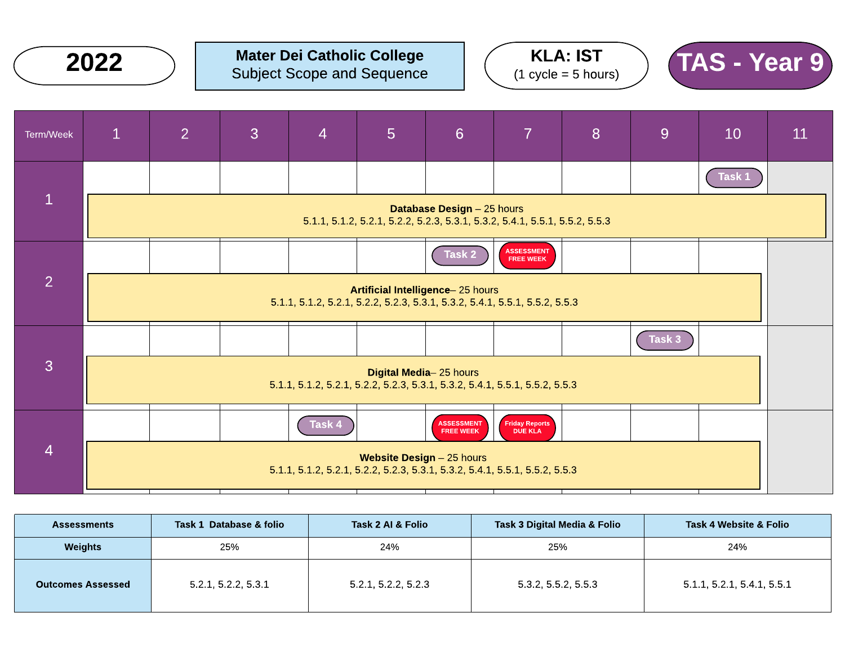





| Term/Week      | $\mathbf{1}$                                                                                                     | $\overline{2}$                                                                                                  | 3 | $\overline{4}$                                                              | $5\phantom{1}$            | $6\phantom{1}6$                       | $\overline{7}$                 | 8 | 9                 | 10     | 11 |  |
|----------------|------------------------------------------------------------------------------------------------------------------|-----------------------------------------------------------------------------------------------------------------|---|-----------------------------------------------------------------------------|---------------------------|---------------------------------------|--------------------------------|---|-------------------|--------|----|--|
|                |                                                                                                                  |                                                                                                                 |   |                                                                             |                           |                                       |                                |   |                   | Task 1 |    |  |
| $\mathbf{1}$   | <b>Database Design - 25 hours</b><br>5.1.1, 5.1.2, 5.2.1, 5.2.2, 5.2.3, 5.3.1, 5.3.2, 5.4.1, 5.5.1, 5.5.2, 5.5.3 |                                                                                                                 |   |                                                                             |                           |                                       |                                |   |                   |        |    |  |
|                |                                                                                                                  |                                                                                                                 |   |                                                                             |                           | Task 2                                | <b>ASSESSMENT</b><br>FREE WEEK |   |                   |        |    |  |
| $\overline{2}$ |                                                                                                                  | Artificial Intelligence-25 hours<br>5.1.1, 5.1.2, 5.2.1, 5.2.2, 5.2.3, 5.3.1, 5.3.2, 5.4.1, 5.5.1, 5.5.2, 5.5.3 |   |                                                                             |                           |                                       |                                |   |                   |        |    |  |
|                |                                                                                                                  |                                                                                                                 |   |                                                                             |                           |                                       |                                |   | Task <sub>3</sub> |        |    |  |
| 3              |                                                                                                                  | Digital Media-25 hours<br>5.1.1, 5.1.2, 5.2.1, 5.2.2, 5.2.3, 5.3.1, 5.3.2, 5.4.1, 5.5.1, 5.5.2, 5.5.3           |   |                                                                             |                           |                                       |                                |   |                   |        |    |  |
|                |                                                                                                                  |                                                                                                                 |   | Task 4                                                                      |                           | <b>ASSESSMENT</b><br><b>FREE WEEK</b> | Friday Reports<br>DUE KLA      |   |                   |        |    |  |
| $\overline{4}$ |                                                                                                                  |                                                                                                                 |   | 5.1.1, 5.1.2, 5.2.1, 5.2.2, 5.2.3, 5.3.1, 5.3.2, 5.4.1, 5.5.1, 5.5.2, 5.5.3 | Website Design - 25 hours |                                       |                                |   |                   |        |    |  |

| <b>Assessments</b>       | Task 1 Database & folio | Task 2 AI & Folio   | Task 3 Digital Media & Folio | <b>Task 4 Website &amp; Folio</b> |
|--------------------------|-------------------------|---------------------|------------------------------|-----------------------------------|
| Weights                  | 25%                     | 24%                 | 25%                          | 24%                               |
| <b>Outcomes Assessed</b> | 5.2.1, 5.2.2, 5.3.1     | 5.2.1, 5.2.2, 5.2.3 | 5.3.2, 5.5.2, 5.5.3          | 5.1.1, 5.2.1, 5.4.1, 5.5.1        |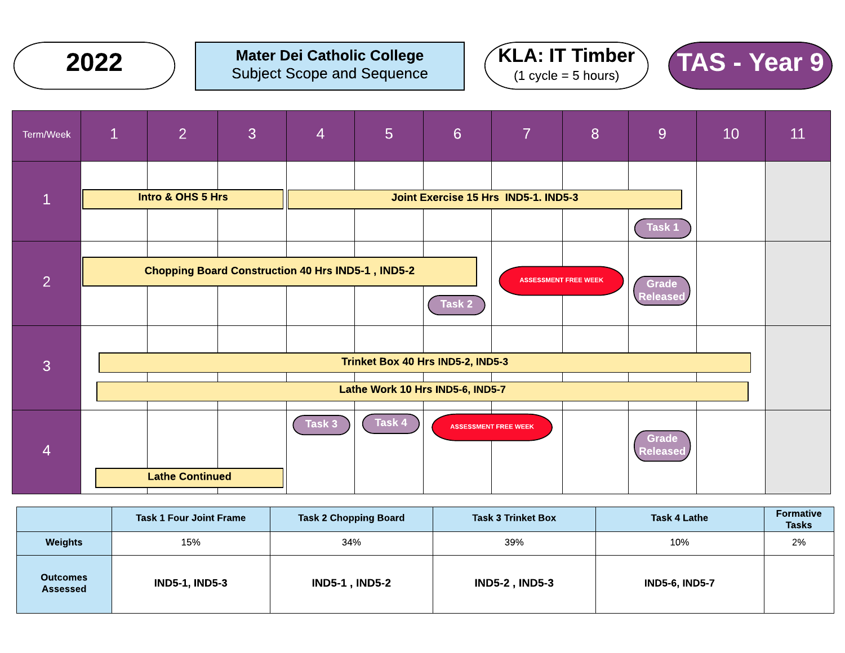







|                             | <b>Task 1 Four Joint Frame</b> | <b>Task 2 Chopping Board</b> | <b>Task 3 Trinket Box</b> | <b>Task 4 Lathe</b>   | <b>Formative</b><br><b>Tasks</b> |
|-----------------------------|--------------------------------|------------------------------|---------------------------|-----------------------|----------------------------------|
| Weights                     | 15%                            | 34%                          | 39%                       | 10%                   | 2%                               |
| <b>Outcomes</b><br>Assessed | <b>IND5-1, IND5-3</b>          | <b>IND5-1, IND5-2</b>        | <b>IND5-2, IND5-3</b>     | <b>IND5-6, IND5-7</b> |                                  |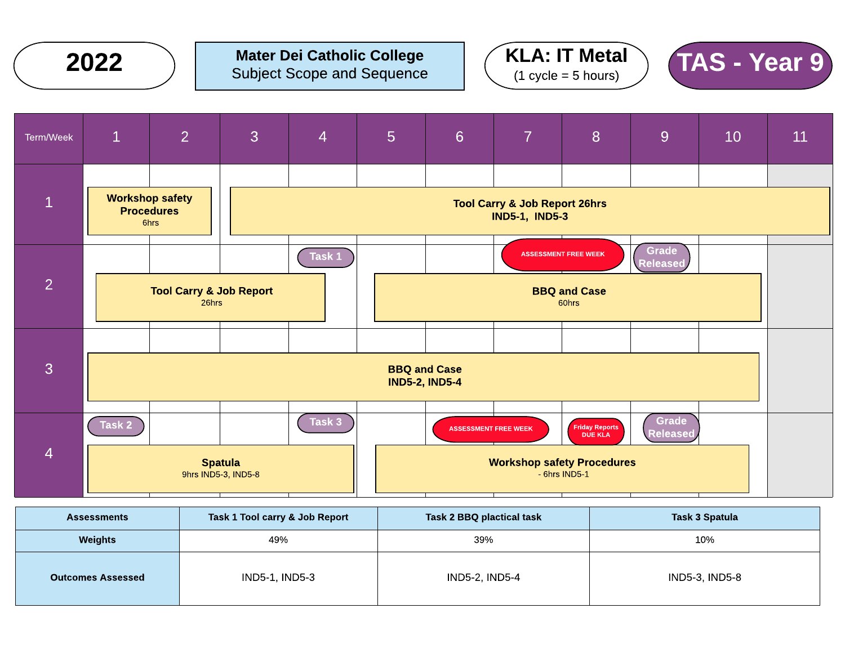







| <b>Assessments</b>       | Task 1 Tool carry & Job Report | <b>Task 2 BBQ plactical task</b> | <b>Task 3 Spatula</b> |
|--------------------------|--------------------------------|----------------------------------|-----------------------|
| Weights<br>49%           |                                | 39%                              | 10%                   |
| <b>Outcomes Assessed</b> | IND5-1, IND5-3                 | IND5-2, IND5-4                   | IND5-3, IND5-8        |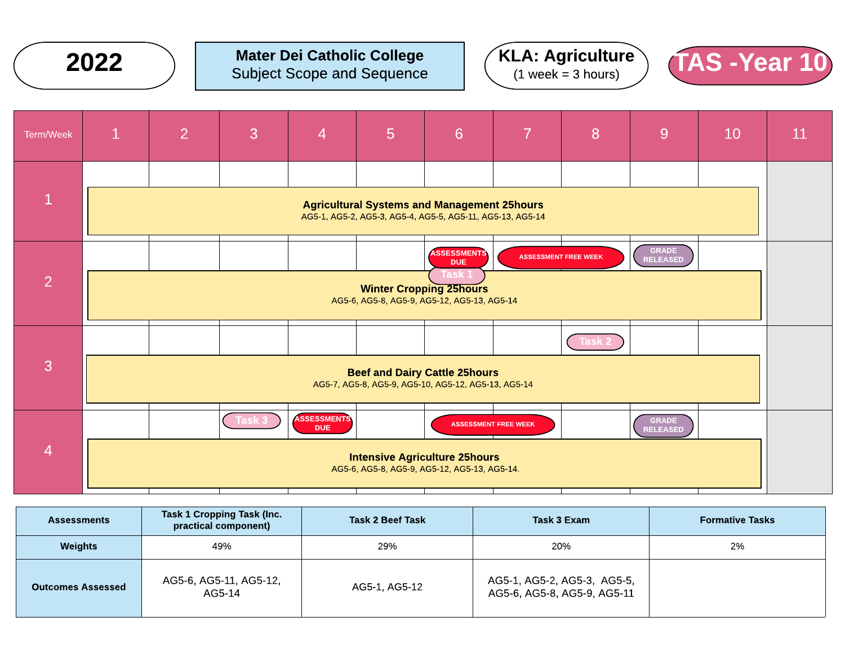

#### Mater Dei Catholic College Subject Scope and Sequence  $2022$  ) Mater Dei Catholic College  $(KLA: Agriculture)$   $(AS -Year 10)$







| <b>Assessments</b>       | Task 1 Cropping Task (Inc.<br>practical component) | Task 2 Beef Task | Task 3 Exam                                                | <b>Formative Tasks</b> |
|--------------------------|----------------------------------------------------|------------------|------------------------------------------------------------|------------------------|
| <b>Weights</b>           | 49%                                                | 29%              | 20%                                                        | 2%                     |
| <b>Outcomes Assessed</b> | AG5-6, AG5-11, AG5-12,<br>AG5-14                   | AG5-1, AG5-12    | AG5-1, AG5-2, AG5-3, AG5-5,<br>AG5-6, AG5-8, AG5-9, AG5-11 |                        |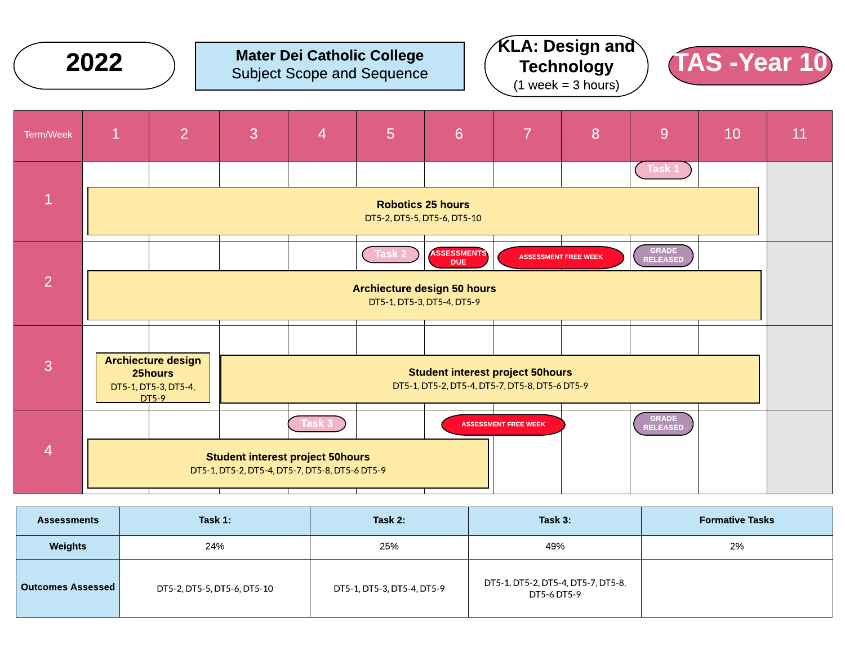

| <b>Assessments</b>       | Task 1:                     | Task 2:                    | Task 3:                                           | <b>Formative Tasks</b> |
|--------------------------|-----------------------------|----------------------------|---------------------------------------------------|------------------------|
| Weights                  | 24%                         | 25%                        | 49%                                               | 2%                     |
| <b>Outcomes Assessed</b> | DT5-2, DT5-5, DT5-6, DT5-10 | DT5-1, DT5-3, DT5-4, DT5-9 | DT5-1, DT5-2, DT5-4, DT5-7, DT5-8,<br>DT5-6 DT5-9 |                        |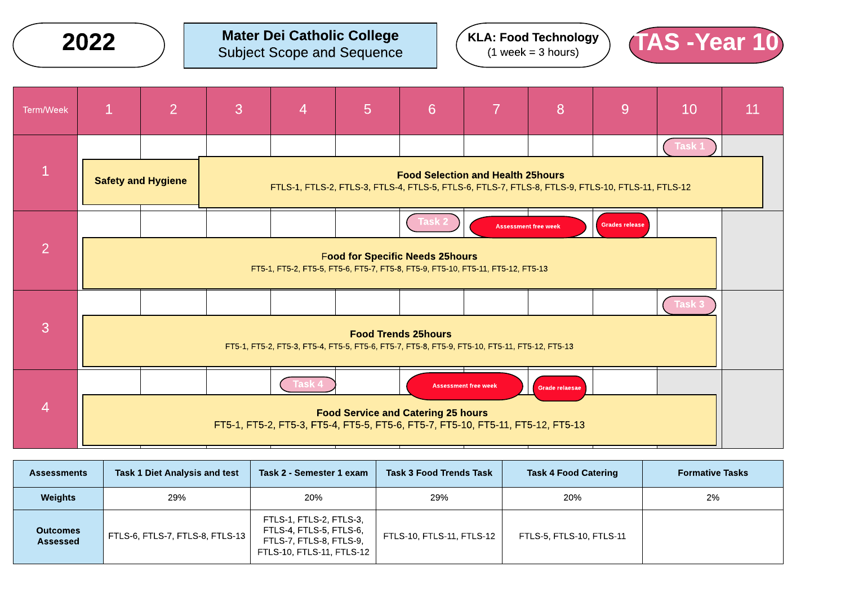2022

Mater Dei Catholic College Subject Scope and Sequence  $KLA:$  Food Technology  $(1$  week = 3 hours)



| Term/Week      | $\mathbf{1}$ | 2                         | 3 | $\overline{4}$                                                                                    | $5\phantom{1}$ | 6                                         | 7                           | 8              | 9                     | 10     | <b>11</b> |
|----------------|--------------|---------------------------|---|---------------------------------------------------------------------------------------------------|----------------|-------------------------------------------|-----------------------------|----------------|-----------------------|--------|-----------|
|                |              |                           |   |                                                                                                   |                |                                           |                             |                |                       | Task 1 |           |
| $\mathbf{1}$   |              | <b>Safety and Hygiene</b> |   | FTLS-1, FTLS-2, FTLS-3, FTLS-4, FTLS-5, FTLS-6, FTLS-7, FTLS-8, FTLS-9, FTLS-10, FTLS-11, FTLS-12 |                | <b>Food Selection and Health 25hours</b>  |                             |                |                       |        |           |
|                |              |                           |   |                                                                                                   |                | Task :                                    | <b>Assessment free week</b> |                | <b>Grades release</b> |        |           |
| $\overline{2}$ |              |                           |   | FT5-1, FT5-2, FT5-5, FT5-6, FT5-7, FT5-8, FT5-9, FT5-10, FT5-11, FT5-12, FT5-13                   |                | <b>Food for Specific Needs 25hours</b>    |                             |                |                       |        |           |
|                |              |                           |   |                                                                                                   |                |                                           |                             |                |                       | Task : |           |
| 3              |              |                           |   | FT5-1, FT5-2, FT5-3, FT5-4, FT5-5, FT5-6, FT5-7, FT5-8, FT5-9, FT5-10, FT5-11, FT5-12, FT5-13     |                | <b>Food Trends 25hours</b>                |                             |                |                       |        |           |
|                |              |                           |   | Task 4                                                                                            |                |                                           | <b>Assessment free week</b> | Grade relaesae |                       |        |           |
| $\overline{4}$ |              |                           |   | FT5-1, FT5-2, FT5-3, FT5-4, FT5-5, FT5-6, FT5-7, FT5-10, FT5-11, FT5-12, FT5-13                   |                | <b>Food Service and Catering 25 hours</b> |                             |                |                       |        |           |

| <b>Assessments</b>          | Task 1 Diet Analysis and test   | Task 2 - Semester 1 exam                                                                                   | <b>Task 3 Food Trends Task</b> | <b>Task 4 Food Catering</b> | <b>Formative Tasks</b> |
|-----------------------------|---------------------------------|------------------------------------------------------------------------------------------------------------|--------------------------------|-----------------------------|------------------------|
| <b>Weights</b>              | 29%                             | 20%                                                                                                        | 29%                            | 20%                         | 2%                     |
| <b>Outcomes</b><br>Assessed | FTLS-6, FTLS-7, FTLS-8, FTLS-13 | FTLS-1, FTLS-2, FTLS-3,<br>FTLS-4, FTLS-5, FTLS-6,<br>FTLS-7, FTLS-8, FTLS-9,<br>FTLS-10, FTLS-11, FTLS-12 | FTLS-10, FTLS-11, FTLS-12      | FTLS-5, FTLS-10, FTLS-11    |                        |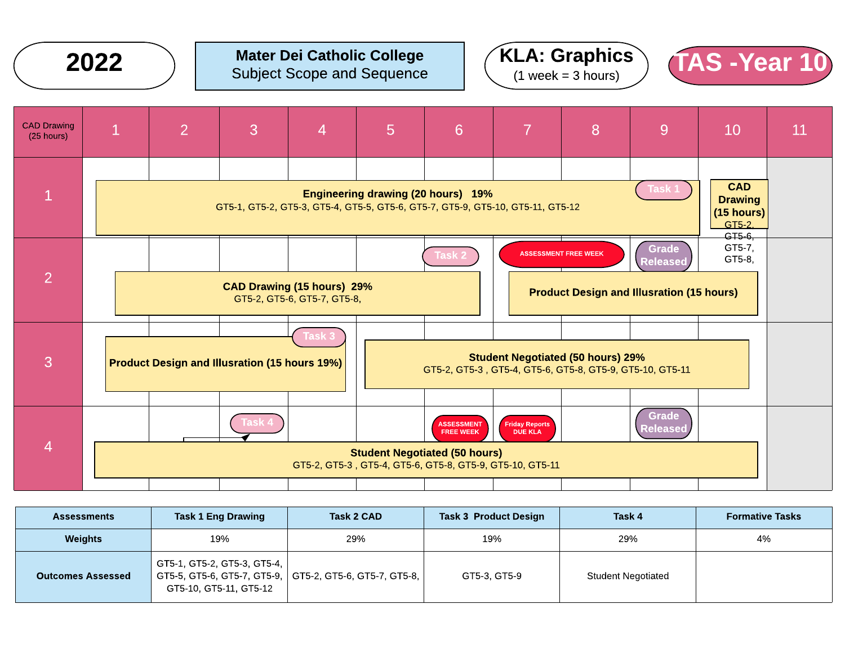2022







| <b>Assessments</b>       | <b>Task 1 Eng Drawing</b>                             | Task 2 CAD                                                | <b>Task 3 Product Design</b> | Task 4             | <b>Formative Tasks</b> |
|--------------------------|-------------------------------------------------------|-----------------------------------------------------------|------------------------------|--------------------|------------------------|
| <b>Weights</b>           | 19%                                                   | 29%                                                       | 19%                          | 29%                | 4%                     |
| <b>Outcomes Assessed</b> | GT5-1, GT5-2, GT5-3, GT5-4,<br>GT5-10, GT5-11, GT5-12 | GT5-5, GT5-6, GT5-7, GT5-9,   GT5-2, GT5-6, GT5-7, GT5-8, | GT5-3, GT5-9                 | Student Negotiated |                        |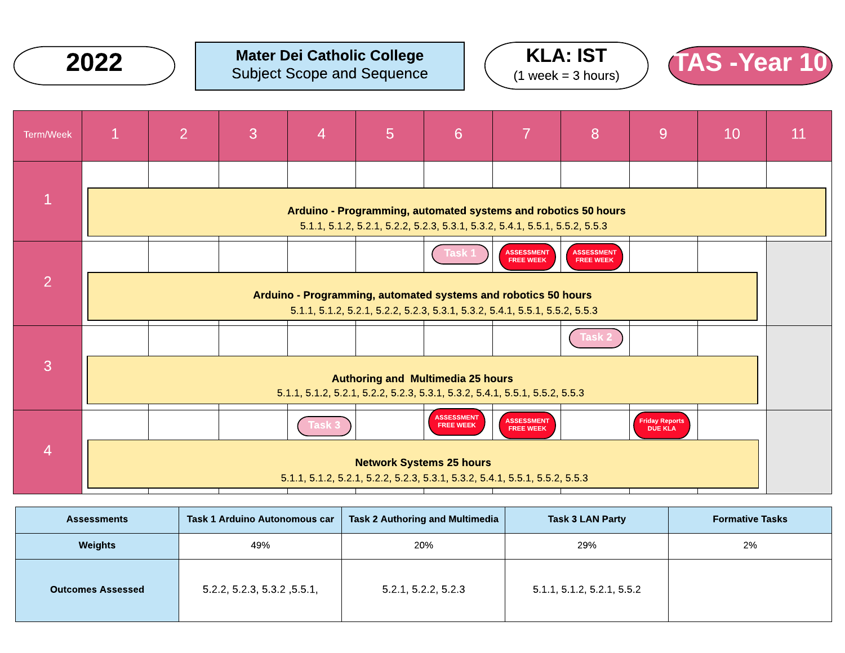





| Term/Week      | $\mathbf{1}$                                                                                                   | 2 | 3 | $\overline{4}$ | 5 | $6\phantom{1}6$                                                                                                                               | 7                                     | 8                                     | 9                         | 10 | 11 |
|----------------|----------------------------------------------------------------------------------------------------------------|---|---|----------------|---|-----------------------------------------------------------------------------------------------------------------------------------------------|---------------------------------------|---------------------------------------|---------------------------|----|----|
|                |                                                                                                                |   |   |                |   |                                                                                                                                               |                                       |                                       |                           |    |    |
|                |                                                                                                                |   |   |                |   | Arduino - Programming, automated systems and robotics 50 hours<br>5.1.1, 5.1.2, 5.2.1, 5.2.2, 5.2.3, 5.3.1, 5.3.2, 5.4.1, 5.5.1, 5.5.2, 5.5.3 |                                       |                                       |                           |    |    |
|                |                                                                                                                |   |   |                |   | ⊺ask ∶                                                                                                                                        | <b>ASSESSMENT</b><br><b>FREE WEEK</b> | <b>ASSESSMENT</b><br><b>FREE WEEK</b> |                           |    |    |
| $\overline{2}$ |                                                                                                                |   |   |                |   | Arduino - Programming, automated systems and robotics 50 hours<br>5.1.1, 5.1.2, 5.2.1, 5.2.2, 5.2.3, 5.3.1, 5.3.2, 5.4.1, 5.5.1, 5.5.2, 5.5.3 |                                       |                                       |                           |    |    |
|                |                                                                                                                |   |   |                |   |                                                                                                                                               |                                       | rasr                                  |                           |    |    |
| 3              |                                                                                                                |   |   |                |   | <b>Authoring and Multimedia 25 hours</b><br>5.1.1, 5.1.2, 5.2.1, 5.2.2, 5.2.3, 5.3.1, 5.3.2, 5.4.1, 5.5.1, 5.5.2, 5.5.3                       |                                       |                                       |                           |    |    |
|                |                                                                                                                |   |   | Task 3         |   | <b>ASSESSMENT</b><br><b>FREE WEEK</b>                                                                                                         | <b>ASSESSMENT</b><br><b>FREE WEEK</b> |                                       | Friday Reports<br>DUE KLA |    |    |
| $\overline{4}$ | <b>Network Systems 25 hours</b><br>5.1.1, 5.1.2, 5.2.1, 5.2.2, 5.2.3, 5.3.1, 5.3.2, 5.4.1, 5.5.1, 5.5.2, 5.5.3 |   |   |                |   |                                                                                                                                               |                                       |                                       |                           |    |    |

| <b>Assessments</b>       | Task 1 Arduino Autonomous car | <b>Task 2 Authoring and Multimedia</b> | <b>Task 3 LAN Party</b>    | <b>Formative Tasks</b> |
|--------------------------|-------------------------------|----------------------------------------|----------------------------|------------------------|
| Weights                  | 49%                           | 20%                                    | 29%                        | 2%                     |
| <b>Outcomes Assessed</b> | 5.2.2, 5.2.3, 5.3.2, 5.5.1,   | 5.2.1, 5.2.2, 5.2.3                    | 5.1.1, 5.1.2, 5.2.1, 5.5.2 |                        |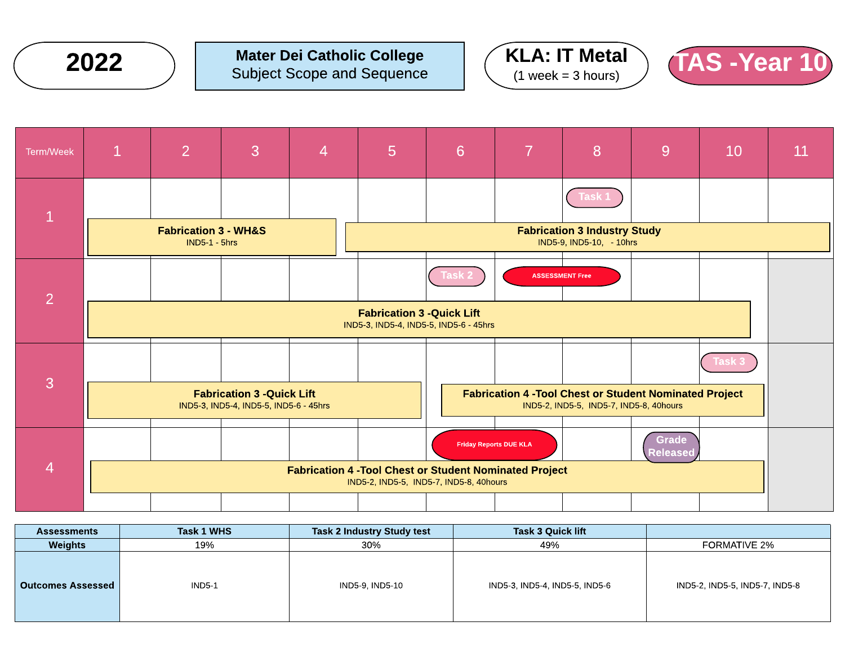







| <b>Assessments</b>       | <b>Task 1 WHS</b> | Task 2 Industry Study test | <b>Task 3 Quick lift</b>       |                                |
|--------------------------|-------------------|----------------------------|--------------------------------|--------------------------------|
| <b>Weights</b>           | 19%               | 30%                        | 49%                            | <b>FORMATIVE 2%</b>            |
| <b>Outcomes Assessed</b> | <b>IND5-1</b>     | IND5-9, IND5-10            | IND5-3, IND5-4, IND5-5, IND5-6 | IND5-2, IND5-5, IND5-7, IND5-8 |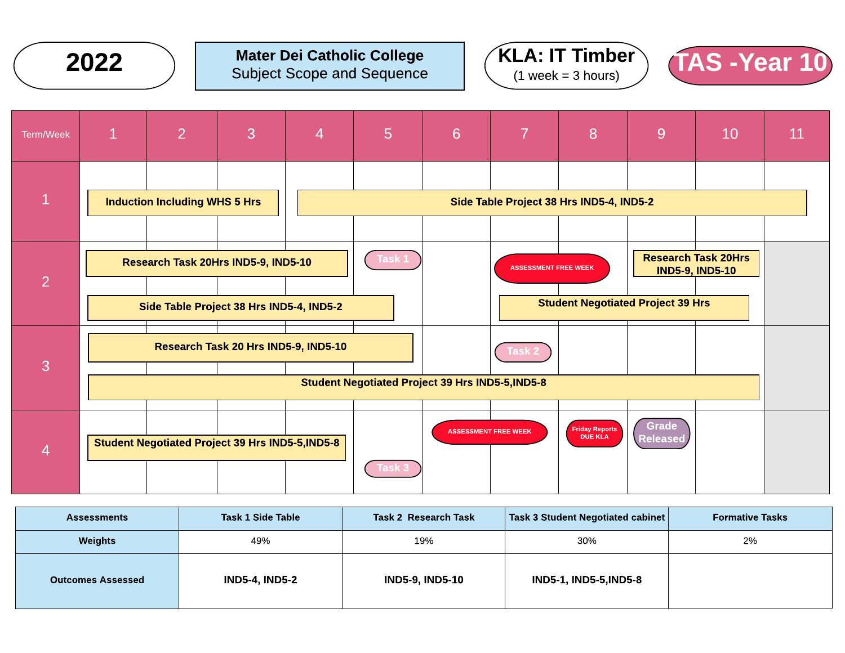







| <b>Assessments</b>       | <b>Task 1 Side Table</b> | Task 2 Research Task | Task 3 Student Negotiated cabinet | <b>Formative Tasks</b> |
|--------------------------|--------------------------|----------------------|-----------------------------------|------------------------|
| <b>Weights</b>           | 49%                      | 19%                  | 30%                               | 2%                     |
| <b>Outcomes Assessed</b> | <b>IND5-4, IND5-2</b>    | IND5-9, IND5-10      | <b>IND5-1, IND5-5, IND5-8</b>     |                        |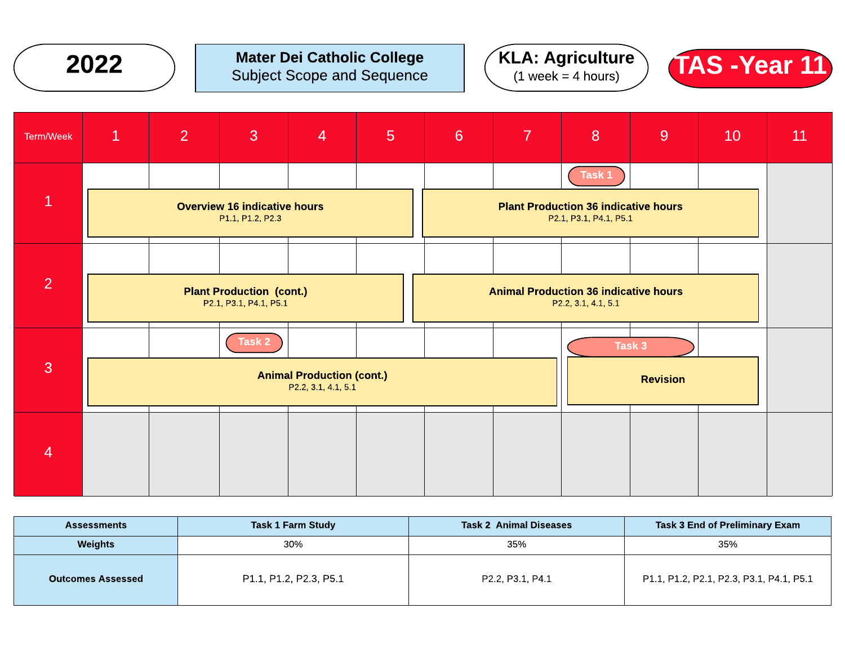







| <b>Task 1 Farm Study</b><br><b>Assessments</b> |                        | <b>Task 2 Animal Diseases</b> | Task 3 End of Preliminary Exam           |  |  |
|------------------------------------------------|------------------------|-------------------------------|------------------------------------------|--|--|
| <b>Weights</b><br>30%                          |                        | 35%                           | 35%                                      |  |  |
| <b>Outcomes Assessed</b>                       | P1.1, P1.2, P2.3, P5.1 | P2.2, P3.1, P4.1              | P1.1, P1.2, P2.1, P2.3, P3.1, P4.1, P5.1 |  |  |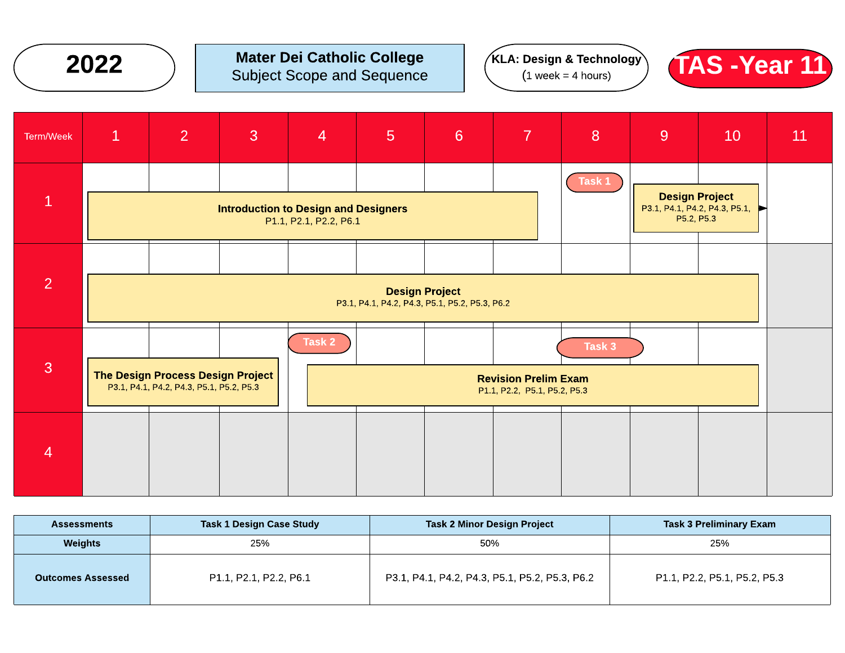







| <b>Assessments</b>       | <b>Task 1 Design Case Study</b> | <b>Task 2 Minor Design Project</b>             | <b>Task 3 Preliminary Exam</b> |
|--------------------------|---------------------------------|------------------------------------------------|--------------------------------|
| Weights                  | 25%                             | 50%                                            | 25%                            |
| <b>Outcomes Assessed</b> | P1.1, P2.1, P2.2, P6.1          | P3.1, P4.1, P4.2, P4.3, P5.1, P5.2, P5.3, P6.2 | P1.1, P2.2, P5.1, P5.2, P5.3   |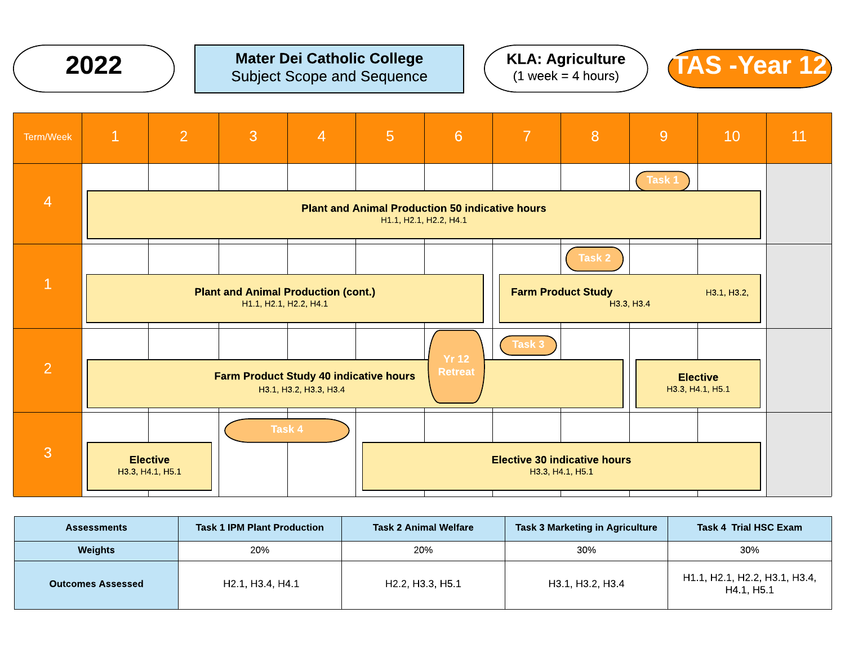

#### Mater Dei Catholic College Subject Scope and Sequence 2022 Mater Dei Catholic College  $\left(\begin{array}{c} RLA: Agriculture \\ (1 week = 4 hours) \end{array}\right)$   $(AS -Year 12)$





| Term/Week      | $\mathbf{1}$                                                                                              | $\overline{2}$ | 3 | $\overline{4}$ | $5\phantom{1}$ | $6\phantom{1}$                                          | $\overline{7}$ | 8                         | 9          | 10                                  | 11 |
|----------------|-----------------------------------------------------------------------------------------------------------|----------------|---|----------------|----------------|---------------------------------------------------------|----------------|---------------------------|------------|-------------------------------------|----|
|                |                                                                                                           |                |   |                |                |                                                         |                |                           | Task 1     |                                     |    |
| $\overline{4}$ | <b>Plant and Animal Production 50 indicative hours</b><br>H1.1, H2.1, H2.2, H4.1                          |                |   |                |                |                                                         |                |                           |            |                                     |    |
|                |                                                                                                           |                |   |                |                |                                                         |                | Task 2                    |            |                                     |    |
| $\mathbf{1}$   | <b>Plant and Animal Production (cont.)</b><br>H1.1, H2.1, H2.2, H4.1                                      |                |   |                |                |                                                         |                | <b>Farm Product Study</b> | H3.3, H3.4 | H3.1, H3.2,                         |    |
| $\overline{2}$ |                                                                                                           |                |   |                |                |                                                         | Task 3         |                           |            |                                     |    |
|                | <b>Yr 12</b><br><b>Retreat</b><br><b>Farm Product Study 40 indicative hours</b><br>H3.1, H3.2, H3.3, H3.4 |                |   |                |                |                                                         |                |                           |            | <b>Elective</b><br>H3.3, H4.1, H5.1 |    |
|                |                                                                                                           |                |   | Task 4         |                |                                                         |                |                           |            |                                     |    |
| $\overline{3}$ | <b>Elective</b><br>H3.3, H4.1, H5.1                                                                       |                |   |                |                | <b>Elective 30 indicative hours</b><br>H3.3, H4.1, H5.1 |                |                           |            |                                     |    |

| <b>Assessments</b>       | <b>Task 1 IPM Plant Production</b>                     | <b>Task 2 Animal Welfare</b>                           | <b>Task 3 Marketing in Agriculture</b> | Task 4 Trial HSC Exam                       |
|--------------------------|--------------------------------------------------------|--------------------------------------------------------|----------------------------------------|---------------------------------------------|
| Weights                  | 20%                                                    | 20%                                                    | 30%                                    | 30%                                         |
| <b>Outcomes Assessed</b> | H <sub>2.1</sub> , H <sub>3.4</sub> , H <sub>4.1</sub> | H <sub>2.2</sub> , H <sub>3.3</sub> , H <sub>5.1</sub> | H3.1, H3.2, H3.4                       | H1.1, H2.1, H2.2, H3.1, H3.4,<br>H4.1. H5.1 |